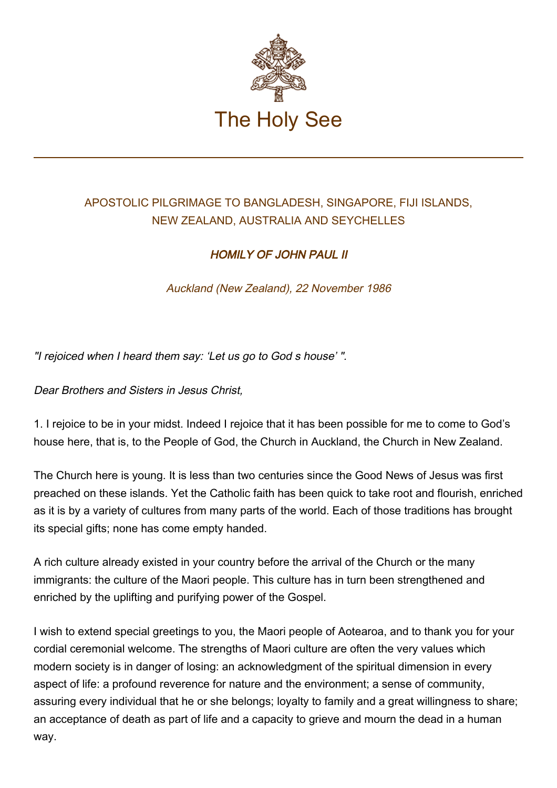

## APOSTOLIC PILGRIMAGE TO BANGLADESH, SINGAPORE, FIJI ISLANDS, NEW ZEALAND, AUSTRALIA AND SEYCHELLES

## HOMILY OF JOHN PAUL II

Auckland (New Zealand), 22 November 1986

"I rejoiced when I heard them say: 'Let us go to God s house' ".

Dear Brothers and Sisters in Jesus Christ,

1. I rejoice to be in your midst. Indeed I rejoice that it has been possible for me to come to God's house here, that is, to the People of God, the Church in Auckland, the Church in New Zealand.

The Church here is young. It is less than two centuries since the Good News of Jesus was first preached on these islands. Yet the Catholic faith has been quick to take root and flourish, enriched as it is by a variety of cultures from many parts of the world. Each of those traditions has brought its special gifts; none has come empty handed.

A rich culture already existed in your country before the arrival of the Church or the many immigrants: the culture of the Maori people. This culture has in turn been strengthened and enriched by the uplifting and purifying power of the Gospel.

I wish to extend special greetings to you, the Maori people of Aotearoa, and to thank you for your cordial ceremonial welcome. The strengths of Maori culture are often the very values which modern society is in danger of losing: an acknowledgment of the spiritual dimension in every aspect of life: a profound reverence for nature and the environment; a sense of community, assuring every individual that he or she belongs; loyalty to family and a great willingness to share; an acceptance of death as part of life and a capacity to grieve and mourn the dead in a human way.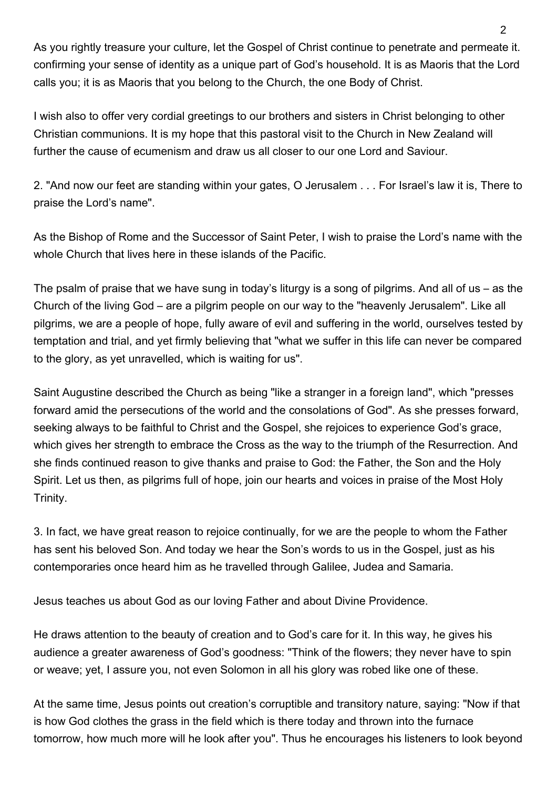As you rightly treasure your culture, let the Gospel of Christ continue to penetrate and permeate it. confirming your sense of identity as a unique part of God's household. It is as Maoris that the Lord calls you; it is as Maoris that you belong to the Church, the one Body of Christ.

I wish also to offer very cordial greetings to our brothers and sisters in Christ belonging to other Christian communions. It is my hope that this pastoral visit to the Church in New Zealand will further the cause of ecumenism and draw us all closer to our one Lord and Saviour.

2. "And now our feet are standing within your gates, O Jerusalem . . . For Israel's law it is, There to praise the Lord's name".

As the Bishop of Rome and the Successor of Saint Peter, I wish to praise the Lord's name with the whole Church that lives here in these islands of the Pacific.

The psalm of praise that we have sung in today's liturgy is a song of pilgrims. And all of us – as the Church of the living God – are a pilgrim people on our way to the "heavenly Jerusalem". Like all pilgrims, we are a people of hope, fully aware of evil and suffering in the world, ourselves tested by temptation and trial, and yet firmly believing that "what we suffer in this life can never be compared to the glory, as yet unravelled, which is waiting for us".

Saint Augustine described the Church as being "like a stranger in a foreign land", which "presses forward amid the persecutions of the world and the consolations of God". As she presses forward, seeking always to be faithful to Christ and the Gospel, she rejoices to experience God's grace, which gives her strength to embrace the Cross as the way to the triumph of the Resurrection. And she finds continued reason to give thanks and praise to God: the Father, the Son and the Holy Spirit. Let us then, as pilgrims full of hope, join our hearts and voices in praise of the Most Holy Trinity.

3. In fact, we have great reason to rejoice continually, for we are the people to whom the Father has sent his beloved Son. And today we hear the Son's words to us in the Gospel, just as his contemporaries once heard him as he travelled through Galilee, Judea and Samaria.

Jesus teaches us about God as our loving Father and about Divine Providence.

He draws attention to the beauty of creation and to God's care for it. In this way, he gives his audience a greater awareness of God's goodness: "Think of the flowers; they never have to spin or weave; yet, I assure you, not even Solomon in all his glory was robed like one of these.

At the same time, Jesus points out creation's corruptible and transitory nature, saying: "Now if that is how God clothes the grass in the field which is there today and thrown into the furnace tomorrow, how much more will he look after you". Thus he encourages his listeners to look beyond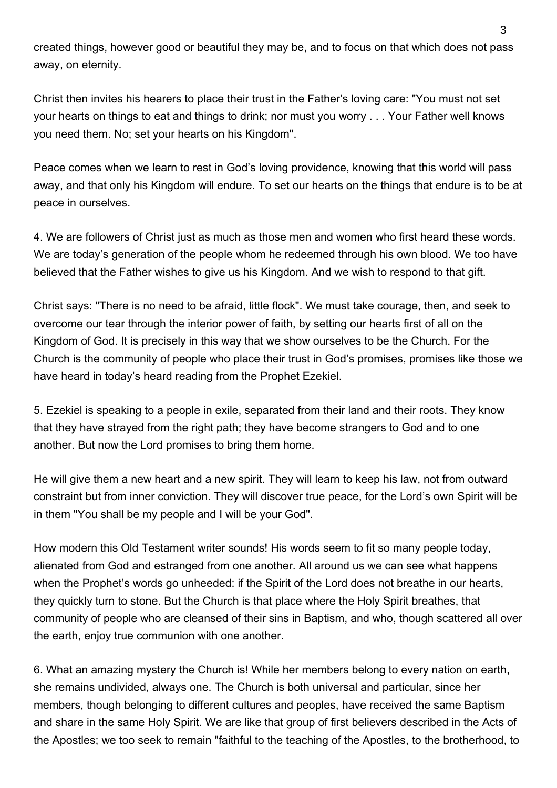created things, however good or beautiful they may be, and to focus on that which does not pass away, on eternity.

Christ then invites his hearers to place their trust in the Father's loving care: "You must not set your hearts on things to eat and things to drink; nor must you worry . . . Your Father well knows you need them. No; set your hearts on his Kingdom".

Peace comes when we learn to rest in God's loving providence, knowing that this world will pass away, and that only his Kingdom will endure. To set our hearts on the things that endure is to be at peace in ourselves.

4. We are followers of Christ just as much as those men and women who first heard these words. We are today's generation of the people whom he redeemed through his own blood. We too have believed that the Father wishes to give us his Kingdom. And we wish to respond to that gift.

Christ says: "There is no need to be afraid, little flock". We must take courage, then, and seek to overcome our tear through the interior power of faith, by setting our hearts first of all on the Kingdom of God. It is precisely in this way that we show ourselves to be the Church. For the Church is the community of people who place their trust in God's promises, promises like those we have heard in today's heard reading from the Prophet Ezekiel.

5. Ezekiel is speaking to a people in exile, separated from their land and their roots. They know that they have strayed from the right path; they have become strangers to God and to one another. But now the Lord promises to bring them home.

He will give them a new heart and a new spirit. They will learn to keep his law, not from outward constraint but from inner conviction. They will discover true peace, for the Lord's own Spirit will be in them "You shall be my people and I will be your God".

How modern this Old Testament writer sounds! His words seem to fit so many people today, alienated from God and estranged from one another. All around us we can see what happens when the Prophet's words go unheeded: if the Spirit of the Lord does not breathe in our hearts, they quickly turn to stone. But the Church is that place where the Holy Spirit breathes, that community of people who are cleansed of their sins in Baptism, and who, though scattered all over the earth, enjoy true communion with one another.

6. What an amazing mystery the Church is! While her members belong to every nation on earth, she remains undivided, always one. The Church is both universal and particular, since her members, though belonging to different cultures and peoples, have received the same Baptism and share in the same Holy Spirit. We are like that group of first believers described in the Acts of the Apostles; we too seek to remain "faithful to the teaching of the Apostles, to the brotherhood, to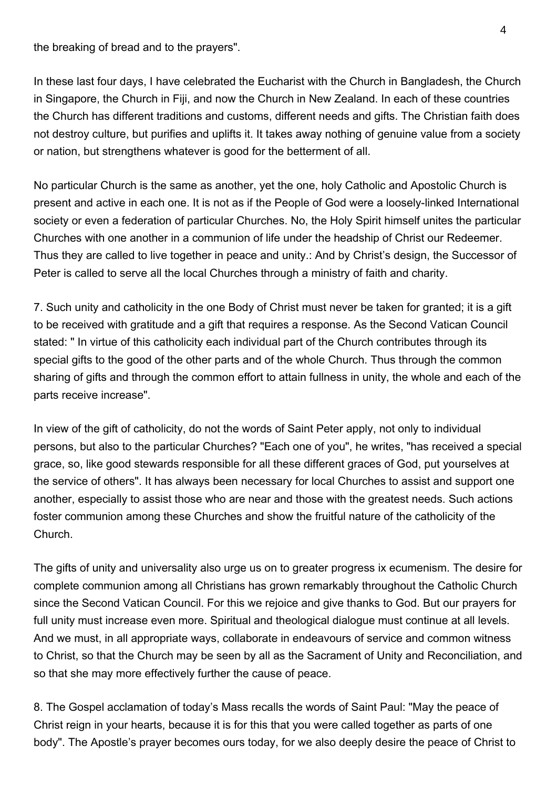the breaking of bread and to the prayers".

In these last four days, I have celebrated the Eucharist with the Church in Bangladesh, the Church in Singapore, the Church in Fiji, and now the Church in New Zealand. In each of these countries the Church has different traditions and customs, different needs and gifts. The Christian faith does not destroy culture, but purifies and uplifts it. It takes away nothing of genuine value from a society or nation, but strengthens whatever is good for the betterment of all.

No particular Church is the same as another, yet the one, holy Catholic and Apostolic Church is present and active in each one. It is not as if the People of God were a loosely-linked International society or even a federation of particular Churches. No, the Holy Spirit himself unites the particular Churches with one another in a communion of life under the headship of Christ our Redeemer. Thus they are called to live together in peace and unity.: And by Christ's design, the Successor of Peter is called to serve all the local Churches through a ministry of faith and charity.

7. Such unity and catholicity in the one Body of Christ must never be taken for granted; it is a gift to be received with gratitude and a gift that requires a response. As the Second Vatican Council stated: " In virtue of this catholicity each individual part of the Church contributes through its special gifts to the good of the other parts and of the whole Church. Thus through the common sharing of gifts and through the common effort to attain fullness in unity, the whole and each of the parts receive increase".

In view of the gift of catholicity, do not the words of Saint Peter apply, not only to individual persons, but also to the particular Churches? "Each one of you", he writes, "has received a special grace, so, like good stewards responsible for all these different graces of God, put yourselves at the service of others". It has always been necessary for local Churches to assist and support one another, especially to assist those who are near and those with the greatest needs. Such actions foster communion among these Churches and show the fruitful nature of the catholicity of the Church.

The gifts of unity and universality also urge us on to greater progress ix ecumenism. The desire for complete communion among all Christians has grown remarkably throughout the Catholic Church since the Second Vatican Council. For this we rejoice and give thanks to God. But our prayers for full unity must increase even more. Spiritual and theological dialogue must continue at all levels. And we must, in all appropriate ways, collaborate in endeavours of service and common witness to Christ, so that the Church may be seen by all as the Sacrament of Unity and Reconciliation, and so that she may more effectively further the cause of peace.

8. The Gospel acclamation of today's Mass recalls the words of Saint Paul: "May the peace of Christ reign in your hearts, because it is for this that you were called together as parts of one body". The Apostle's prayer becomes ours today, for we also deeply desire the peace of Christ to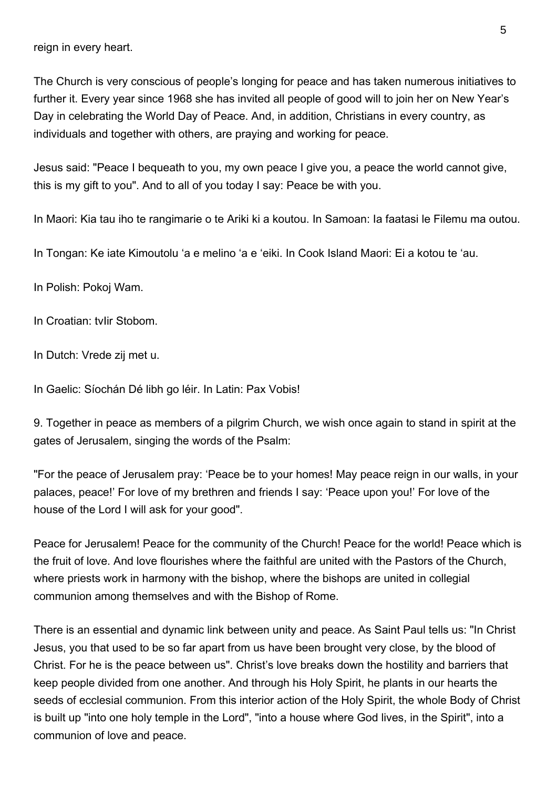reign in every heart.

The Church is very conscious of people's longing for peace and has taken numerous initiatives to further it. Every year since 1968 she has invited all people of good will to join her on New Year's Day in celebrating the World Day of Peace. And, in addition, Christians in every country, as individuals and together with others, are praying and working for peace.

Jesus said: "Peace I bequeath to you, my own peace I give you, a peace the world cannot give, this is my gift to you". And to all of you today I say: Peace be with you.

In Maori: Kia tau iho te rangimarie o te Ariki ki a koutou. In Samoan: Ia faatasi le Filemu ma outou.

In Tongan: Ke iate Kimoutolu 'a e melino 'a e 'eiki. In Cook Island Maori: Ei a kotou te 'au.

In Polish: Pokoj Wam.

In Croatian: tvIir Stobom.

In Dutch: Vrede zij met u.

In Gaelic: Síochán Dé libh go léir. In Latin: Pax Vobis!

9. Together in peace as members of a pilgrim Church, we wish once again to stand in spirit at the gates of Jerusalem, singing the words of the Psalm:

"For the peace of Jerusalem pray: 'Peace be to your homes! May peace reign in our walls, in your palaces, peace!' For love of my brethren and friends I say: 'Peace upon you!' For love of the house of the Lord I will ask for your good".

Peace for Jerusalem! Peace for the community of the Church! Peace for the world! Peace which is the fruit of love. And love flourishes where the faithful are united with the Pastors of the Church, where priests work in harmony with the bishop, where the bishops are united in collegial communion among themselves and with the Bishop of Rome.

There is an essential and dynamic link between unity and peace. As Saint Paul tells us: "In Christ Jesus, you that used to be so far apart from us have been brought very close, by the blood of Christ. For he is the peace between us". Christ's love breaks down the hostility and barriers that keep people divided from one another. And through his Holy Spirit, he plants in our hearts the seeds of ecclesial communion. From this interior action of the Holy Spirit, the whole Body of Christ is built up "into one holy temple in the Lord", "into a house where God lives, in the Spirit", into a communion of love and peace.